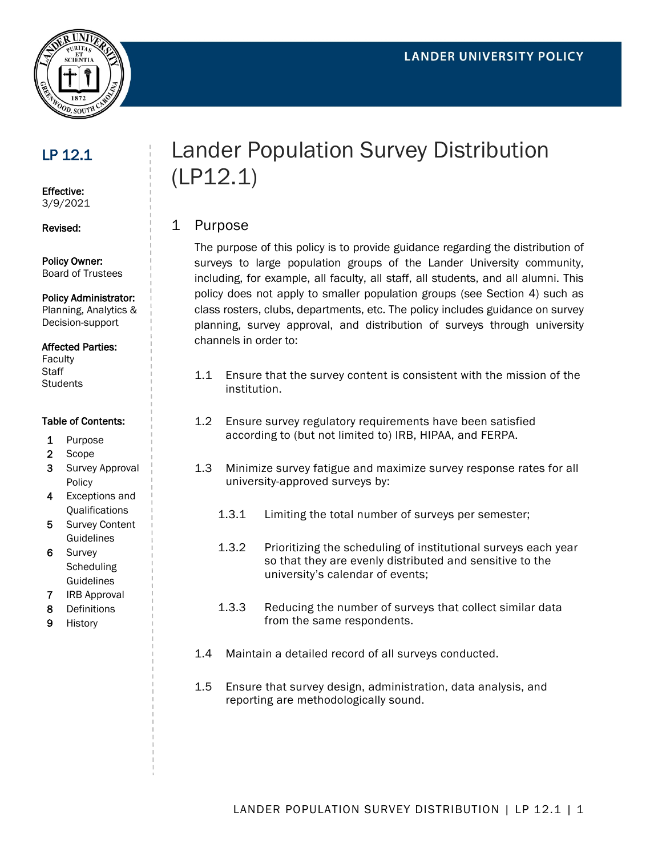

## LP 12.1

Effective: 3/9/2021

Revised:

Policy Owner: Board of Trustees

Policy Administrator:

Planning, Analytics & Decision-support

#### Affected Parties:

Faculty **Staff Students** 

#### Table of Contents:

- 1 Purpose
- 2 Scope
- 3 Survey Approval Policy
- 4 Exceptions and Qualifications
- 5 Survey Content **Guidelines**
- 6 Survey **Scheduling** Guidelines
- 7 IRB Approval
- 8 Definitions
- 9 History

# Lander Population Survey Distribution (LP12.1)

## 1 Purpose

The purpose of this policy is to provide guidance regarding the distribution of surveys to large population groups of the Lander University community, including, for example, all faculty, all staff, all students, and all alumni. This policy does not apply to smaller population groups (see Section 4) such as class rosters, clubs, departments, etc. The policy includes guidance on survey planning, survey approval, and distribution of surveys through university channels in order to:

- 1.1 Ensure that the survey content is consistent with the mission of the institution.
- 1.2 Ensure survey regulatory requirements have been satisfied according to (but not limited to) IRB, HIPAA, and FERPA.
- 1.3 Minimize survey fatigue and maximize survey response rates for all university-approved surveys by:
	- 1.3.1 Limiting the total number of surveys per semester;
	- 1.3.2 Prioritizing the scheduling of institutional surveys each year so that they are evenly distributed and sensitive to the university's calendar of events;
	- 1.3.3 Reducing the number of surveys that collect similar data from the same respondents.
- 1.4 Maintain a detailed record of all surveys conducted.
- 1.5 Ensure that survey design, administration, data analysis, and reporting are methodologically sound.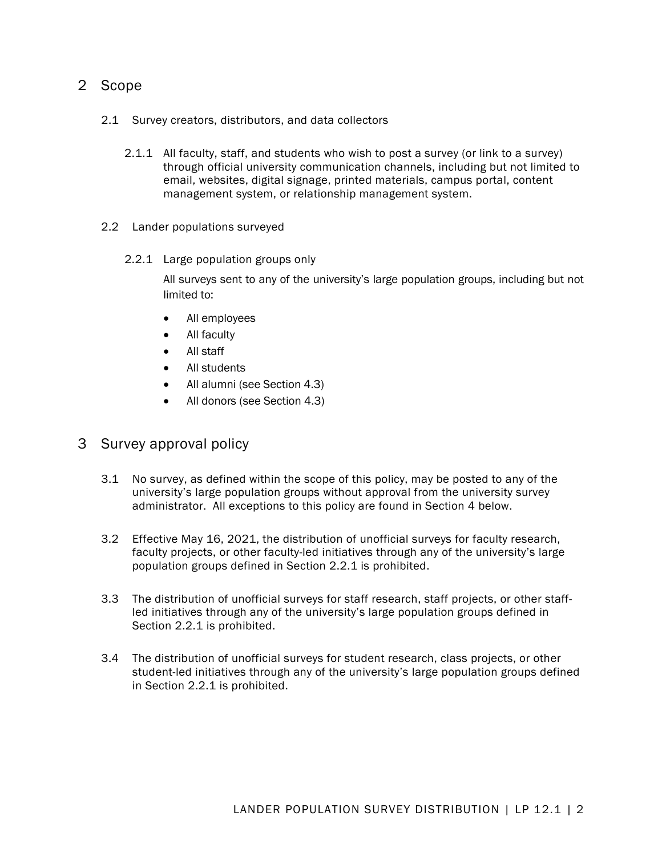## 2 Scope

- 2.1 Survey creators, distributors, and data collectors
	- 2.1.1 All faculty, staff, and students who wish to post a survey (or link to a survey) through official university communication channels, including but not limited to email, websites, digital signage, printed materials, campus portal, content management system, or relationship management system.
- 2.2 Lander populations surveyed
	- 2.2.1 Large population groups only

All surveys sent to any of the university's large population groups, including but not limited to:

- All employees
- All faculty
- All staff
- All students
- All alumni (see Section 4.3)
- All donors (see Section 4.3)

## 3 Survey approval policy

- 3.1 No survey, as defined within the scope of this policy, may be posted to any of the university's large population groups without approval from the university survey administrator. All exceptions to this policy are found in Section 4 below.
- 3.2 Effective May 16, 2021, the distribution of unofficial surveys for faculty research, faculty projects, or other faculty-led initiatives through any of the university's large population groups defined in Section 2.2.1 is prohibited.
- 3.3 The distribution of unofficial surveys for staff research, staff projects, or other staffled initiatives through any of the university's large population groups defined in Section 2.2.1 is prohibited.
- 3.4 The distribution of unofficial surveys for student research, class projects, or other student-led initiatives through any of the university's large population groups defined in Section 2.2.1 is prohibited.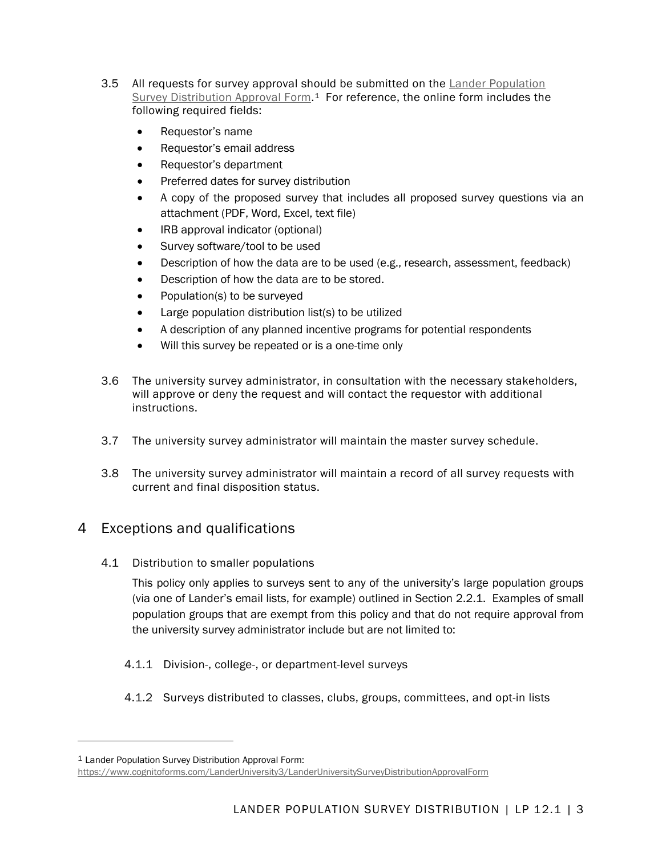- 3.5 All requests for survey approval should be submitted on the **Lander Population** Survey [Distribution Approval Form.](https://www.cognitoforms.com/LanderUniversity3/LanderUniversitySurveyDistributionApprovalForm)<sup>[1](#page-2-0)</sup> For reference, the online form includes the following required fields:
	- Requestor's name
	- Requestor's email address
	- Requestor's department
	- Preferred dates for survey distribution
	- A copy of the proposed survey that includes all proposed survey questions via an attachment (PDF, Word, Excel, text file)
	- IRB approval indicator (optional)
	- Survey software/tool to be used
	- Description of how the data are to be used (e.g., research, assessment, feedback)
	- Description of how the data are to be stored.
	- Population(s) to be surveyed
	- Large population distribution list(s) to be utilized
	- A description of any planned incentive programs for potential respondents
	- Will this survey be repeated or is a one-time only
- 3.6 The university survey administrator, in consultation with the necessary stakeholders, will approve or deny the request and will contact the requestor with additional instructions.
- 3.7 The university survey administrator will maintain the master survey schedule.
- 3.8 The university survey administrator will maintain a record of all survey requests with current and final disposition status.

## 4 Exceptions and qualifications

4.1 Distribution to smaller populations

This policy only applies to surveys sent to any of the university's large population groups (via one of Lander's email lists, for example) outlined in Section 2.2.1. Examples of small population groups that are exempt from this policy and that do not require approval from the university survey administrator include but are not limited to:

- 4.1.1 Division-, college-, or department-level surveys
- 4.1.2 Surveys distributed to classes, clubs, groups, committees, and opt-in lists

 $\ddot{\phantom{a}}$ 

<span id="page-2-0"></span><sup>1</sup> Lander Population Survey Distribution Approval Form:

<https://www.cognitoforms.com/LanderUniversity3/LanderUniversitySurveyDistributionApprovalForm>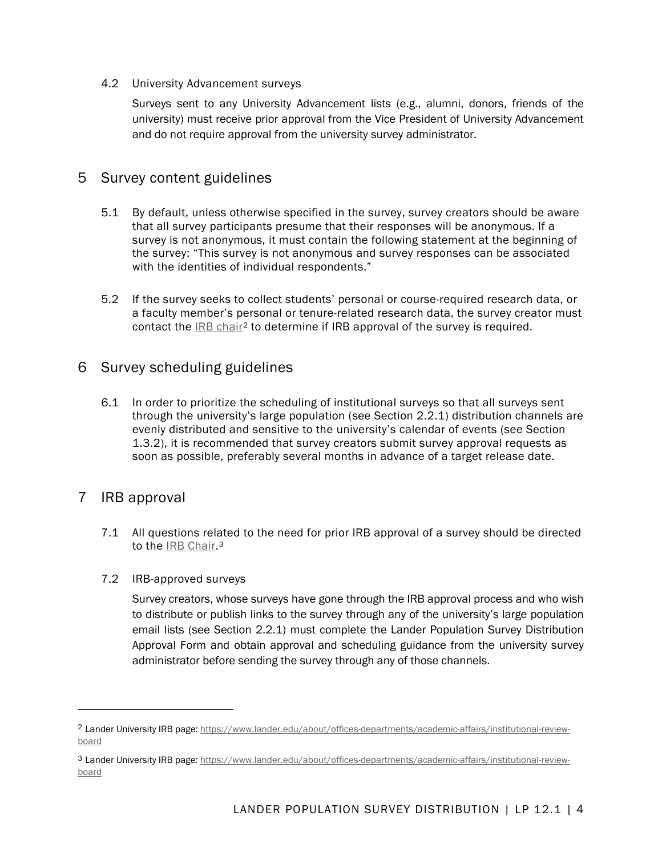#### 4.2 University Advancement surveys

Surveys sent to any University Advancement lists (e.g., alumni, donors, friends of the university) must receive prior approval from the Vice President of University Advancement and do not require approval from the university survey administrator.

## 5 Survey content guidelines

- 5.1 By default, unless otherwise specified in the survey, survey creators should be aware that all survey participants presume that their responses will be anonymous. If a survey is not anonymous, it must contain the following statement at the beginning of the survey: "This survey is not anonymous and survey responses can be associated with the identities of individual respondents."
- 5.2 If the survey seeks to collect students' personal or course-required research data, or a faculty member's personal or tenure-related research data, the survey creator must contact the **IRB chair<sup>[2](#page-3-0)</sup>** to determine if IRB approval of the survey is required.

## 6 Survey scheduling guidelines

6.1 In order to prioritize the scheduling of institutional surveys so that all surveys sent through the university's large population (see Section 2.2.1) distribution channels are evenly distributed and sensitive to the university's calendar of events (see Section 1.3.2), it is recommended that survey creators submit survey approval requests as soon as possible, preferably several months in advance of a target release date.

## 7 IRB approval

1

- 7.1 All questions related to the need for prior IRB approval of a survey should be directed to the **IRB** Chair.<sup>[3](#page-3-1)</sup>
- 7.2 IRB-approved surveys

Survey creators, whose surveys have gone through the IRB approval process and who wish to distribute or publish links to the survey through any of the university's large population email lists (see Section 2.2.1) must complete the Lander Population Survey Distribution Approval Form and obtain approval and scheduling guidance from the university survey administrator before sending the survey through any of those channels.

<span id="page-3-0"></span><sup>2</sup> Lander University IRB page[: https://www.lander.edu/about/offices-departments/academic-affairs/institutional-review](https://www.lander.edu/about/offices-departments/academic-affairs/institutional-review-board)[board](https://www.lander.edu/about/offices-departments/academic-affairs/institutional-review-board)

<span id="page-3-1"></span><sup>3</sup> Lander University IRB page[: https://www.lander.edu/about/offices-departments/academic-affairs/institutional-review](https://www.lander.edu/about/offices-departments/academic-affairs/institutional-review-board)[board](https://www.lander.edu/about/offices-departments/academic-affairs/institutional-review-board)